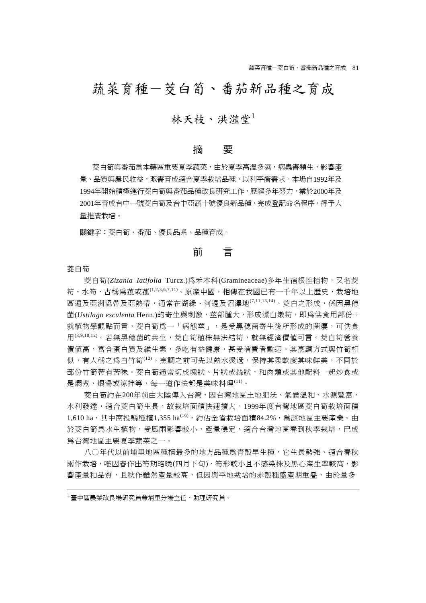## 蔬菜育種-茭白筍、番茄新品種之育成

## 林天枝、洪滋堂1

#### 摘 要

茭白筍與番茄為本轄區重要夏季蔬菜,由於夏季高溫多濕,病蟲害頻生,影響產 量、品質與農民收益,亟需育成適合夏季栽培品種,以利平衡需求。本場自1992年及 1994年開始積極進行茭白筍與番茄品種改良研究工作,歷經多年努力,業於2000年及 2001年育成台中一號茭白筍及台中亞蔬十號優良新品種,完成登記命名程序,得予大 量推廣栽培。

關鍵字:茭白筍、番茄、優良品系、品種育成。

## 前 言

#### 茭白筍

茭白筍(Zizania Iatifolia Turcz.)為禾本科(Gramineaceae)多年生宿根性植物,又名茭 筍、水筍、古稱為菰或菰(1,2,3,6,7,11)。原產中國,相傳在我國已有一千年以上歷史,栽培地 區遍及亞洲溫帶及亞熱帶,通常在湖綠、河邊及沼澤地(7,11,13,14)。茭白之形成,係因黑穗 菌(*Ustilago esculenta* Henn.)的寄生與刺激,莖部腫大,形成潔白嫩筍,即為供食用部份。 就植物學觀點而言,茭白筍為一「病熊莖」,是受黑穗菌寄生後所形成的菌癭,可供食 用(8,9,10,12)。若無黑穗菌的共生,茭白筍植株無法結筍,就無經濟價值可言。茭白筍營養 價值高,富含蛋白質及維生素,多吃有益健康,甚受消費者歡迎。其烹調方式與竹筍相 似,有人稱之為白竹筍(12)。烹調之前可先以熱水燙過,保持其柔軟度其味鮮美,不同於 部份竹筍帶有苦味。茭白筍通常切成塊狀、片狀或絲狀,和肉類或其他配料一起炒食或 是燜煮,煨湯或涼拌等,每一道作法都是美味料理(11)。

茭白筍約在200年前由大陸傳入台灣,因台灣地區土地肥沃、氣候溫和、水源豐富、 水利發達,適合茭白筍生長,故栽培面積快速擴大。1999年度台灣地區茭白筍栽培面積 1,610 ha,其中南投縣種植1,355 ha<sup>(16)</sup>,約佔全省栽培面積84.2%,爲該地區主要產業。由 於茭白筍為水生植物,受風雨影響較小,產量穩定,適合台灣地區春到秋季栽培,已成 為台灣地區主要夏季蔬菜之一。

八○年代以前埔里地區種植最多的地方品種為青殼早生種,它生長勢強、適合春秋 兩作栽培,唯因春作出筍期略晩(四月下旬)、筍形較小且不感染株及黑心產生率較高,影 響產量和品質,且秋作雖然產量較高,但因與平地栽培的赤殼種盛產期重疊,由於量多

<sup>1.</sup>臺中區農業改良場研究員兼埔里分場主任、助理研究員。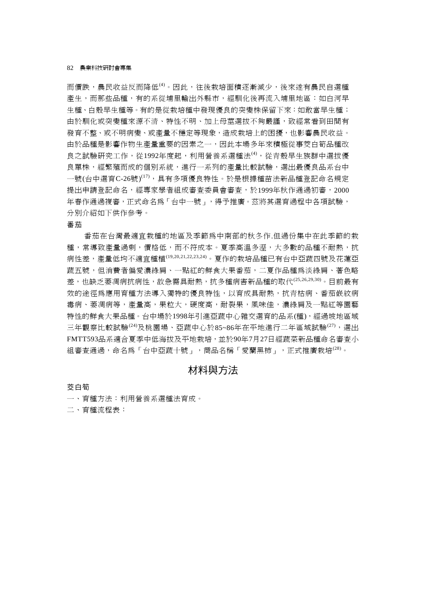而價跌,農民收益反而降低<sup>(4)</sup>。因此,往後栽培面積逐漸減少,後來遂有農民自選種 產生,而那些品種,有的系從埔里輸出外縣市,經馴化後再流入埔里地區:如白河早 生種、白殼早生種等。有的是從栽培種中發現優良的突變株保留下來:如敢當早生種; 由於馴化或突變種來源不清、特性不明、加上母莖選拔不夠嚴謹,致經常看到田間有 發育不整、或不明病變、或產量不穩定等現象,造成栽培上的困擾,也影響農民收益。 由於品種是影響作物生產量重要的因素之一,因此本場多年來積極從事茭白筍品種改 良之試驗研究工作,從1992年度起,利用營養系選種法<sup>(4)</sup>,從青殼早生族群中選拔優 良單株,經繁殖而成的個別系統,進行一系列的產量比較試驗,選出最優良品系台中 一號(台中選育C-26號)<sup>(17),</sup>具有多項優良特性。於是根據種苗法新品種登記命名規定 提出申請登記命名,經專家學者組成審查委員會審查,於1999年秋作通過初審,2000 年春作通過複審,正式命名為「台中一號」,得予推廣。茲將其選育過程中各項試驗, 分別介紹如下供作參考。

#### 番茄

番茄在台灣最適宜栽種的地區及季節為中南部的秋冬作.但過份集中在此季節的栽 種,常導致產量過剩,價格低,而不符成本。夏季高溫多溼,大多數的品種不耐熱,抗 病性差,產量低均不適宜種植(19,20,21,22,23,24)。夏作的栽培品種已有台中亞蔬四號及花蓮亞 蔬五號,但消費者偏愛濃綠肩、一點紅的鮮食大果番茄,二夏作品種為淡綠肩、著色略 差,也缺乏萎凋病抗病性,故急需具耐熱,抗多種病害新品種的取代 $^{(25,26,29,30)}$ 。目前最有 效的涂徑為應用育種方法導入獨特的優良特性,以育成具耐熱,抗青枯病、番茄嵌紋病 毒病、萎凋病等,產量高,果粒大,硬度高,耐裂果,風味佳,濃綠肩及一點紅等園藝 特性的鮮食大果品種。台中場於1998年引進亞蔬中心雜交選育的品系(種),經過坡地區域 三年觀察比較試驗(24)及桃園場、亞蔬中心於85~86年在平地淮行二年區域試驗(27),選出 FMTT593品系適合夏季中低海拔及平地栽培,並於90年7月27日經蔬菜新品種命名審查小 組審查通過,命名為「台中亞蔬十號」,商品名稱「愛蘭黑柿」,正式推廣栽培<sup>(28)</sup>。

## 材料與方法

#### 茭白筍

一、育種方法:利用營養系選種法育成。

二、育種流程表: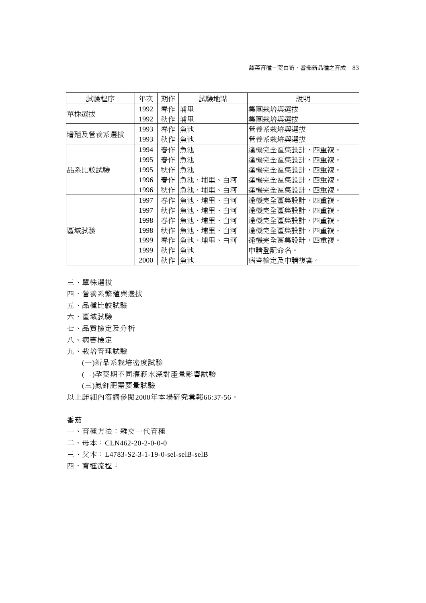| 試驗程序     | 年次   | 期作 | 試驗地點     | 說明            |  |  |
|----------|------|----|----------|---------------|--|--|
|          | 1992 | 春作 | 埔里       | 集團栽培與選拔       |  |  |
| 單株選拔     | 1992 | 秋作 | 埔里       | 集團栽培與選拔       |  |  |
| 增殖及營養系選拔 | 1993 | 春作 | 魚池       | 營養系栽培與選拔      |  |  |
|          | 1993 | 秋作 | 魚池       | 營養系栽培與選拔      |  |  |
| 品系比較試驗   | 1994 | 春作 | 魚池       | 逢機完全區集設計,四重複。 |  |  |
|          | 1995 | 春作 | 魚池       | 逢機完全區集設計,四重複。 |  |  |
|          | 1995 | 秋作 | 魚池       | 逢機完全區集設計,四重複。 |  |  |
|          | 1996 | 春作 | 魚池、埔里、白河 | 逢機完全區集設計,四重複。 |  |  |
|          | 1996 | 秋作 | 魚池、埔里、白河 | 逢機完全區集設計,四重複。 |  |  |
|          | 1997 | 春作 | 魚池、埔里、白河 | 逢機完全區集設計,四重複。 |  |  |
|          | 1997 | 秋作 | 魚池、埔里、白河 | 逢機完全區集設計,四重複。 |  |  |
|          | 1998 | 春作 | 魚池、埔里、白河 | 逢機完全區集設計,四重複。 |  |  |
| 區域試驗     | 1998 | 秋作 | 魚池、埔里、白河 | 逢機完全區集設計,四重複。 |  |  |
|          | 1999 | 春作 | 魚池、埔里、白河 | 逢機完全區集設計,四重複。 |  |  |
|          | 1999 | 秋作 | 魚池       | 申請登記命名。       |  |  |
|          | 2000 | 秋作 | 魚池       | 病害檢定及申請複審。    |  |  |

- 三、單株選拔
- 四、營養系繁殖與選拔
- 五、品種比較試驗
- 六、區域試驗
- 七、品質檢定及分析
- 八、病害檢定
- 九、栽培管理試驗
	- (一)新品系栽培密度試驗
	- (二)孕茭期不同灌溉水深對產量影響試驗
	- (三)氮鉀肥需要量試驗
- 以上詳細內容請參閱2000年本場研究彙報66:37-56。

#### 番茄

- 一、育種方法:雜交一代育種
- 二、母本:CLN462-20-2-0-0-0
- 三、父本:L4783-S2-3-1-19-0-sel-selB-selB
- 四、育種流程: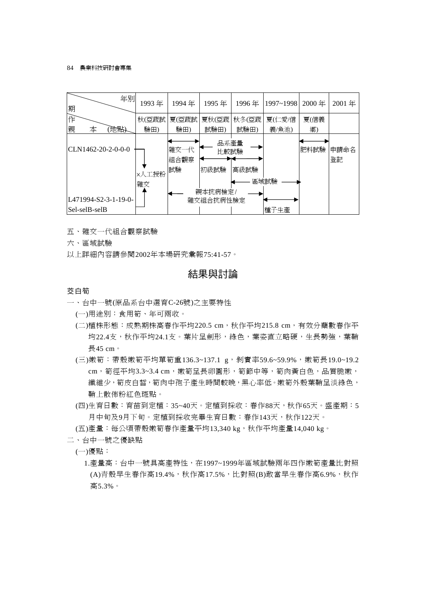#### 84 農業科技研討會專集

| 期 |               | 年別                     | 1993年 | 1994年              | 1995年                | 1996年 | 1997~1998 | 2000年 | 2001年      |
|---|---------------|------------------------|-------|--------------------|----------------------|-------|-----------|-------|------------|
| 作 |               |                        | 秋(亞蔬試 | 夏(亞蔬試              | 夏秋(亞蔬                | 秋冬(亞蔬 | 夏(仁愛/信    | 夏(信義  |            |
| 親 | 本             | 地點                     | 驗田)   | 驗田)                | 試驗田)                 | 試驗田)  | 義/魚池)     | 鄉)    |            |
|   |               | ICLN1462-20-2-0-0-0    | ×人工授粉 | 雜交一代<br>組合觀察<br>試驗 | 品系產量<br>比較試驗<br>初級試驗 | 高級試驗  |           | 肥料試驗  | 申請命名<br>登記 |
|   |               |                        | 雜交    |                    |                      |       | 區域試驗      |       |            |
|   |               |                        |       |                    | 親本抗病檢定/              |       |           |       |            |
|   |               | $L471994-S2-3-1-19-0-$ |       |                    | 雜交組合抗病性檢定            |       |           |       |            |
|   | Sel-selB-selB |                        |       |                    |                      |       | 種子生產      |       |            |

- 五、雜交一代組合觀察試驗
- 六、區域試驗

以上詳細內容請參閱2002年本場研究彙報75:41-57。

## 結果與討論

#### 茭白筍

- 一、台中一號(原品系台中選育C-26號)之主要特性
	- (一)用途別:食用筍、年可兩收。
	- (二)植株形熊:成熟期株高春作平均220.5 cm,秋作平均215.8 cm,有效分蘗數春作平 均22.4支,秋作平均24.1支。葉片呈劍形,綠色,葉姿直立略硬,生長勢強,葉鞘 長45 cm。
	- (三)嫩筍:帶殼嫩筍平均單筍重136.3~137.1 g,剝實率59.6~59.9%,嫩筍長19.0~19.2 cm, 筍徑平均3.3~3.4 cm, 嫩筍呈長卵圓形, 筍節中等, 筍肉黃白色, 品質脆嫩, 織維少,筍皮白皙,筍肉中孢子產生時間較晩,黑心率低。嫩筍外殼葉鞘呈淡綠色, 鞘上散佈粉紅色斑點。
	- (四)生育日數:育苗到定植:35~40天。定植到採收:春作88天,秋作65天。盛產期:5 月中旬及9月下旬。定植到採收完畢生育日數:春作143天,秋作122天。
	- (五)產量:每公頃帶殼嫩筍春作產量平均13,340 kg,秋作平均產量14,040 kg。
- 二、台中一號之優缺點
	- (一)優點:
		- 1.產量高:台中一號具高產特性,在1997~1999年區域試驗兩年四作嫩筍產量比對照 (A)青殼早生春作高19.4%,秋作高17.5%,比對照(B)敢當早生春作高6.9%,秋作 高5.3%。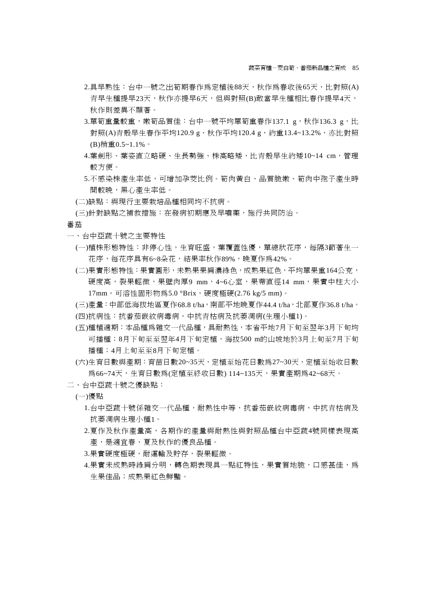- 2.具早熟性:台中一號之出筍期春作為定植後88天,秋作為春收後65天,比對照(A) 青早生種提早23天,秋作亦提早6天,但與對照(B)敢當早生種相比春作提早4天, 秋作則差異不顯著。
- 3.單筍重量較重,嫩筍品質佳:台中一號平均單筍重春作137.1 g, 秋作136.3 g, 比 對照(A)青殼早生春作平均120.9 g,秋作平均120.4 g,約重13.4~13.2%,亦比對照 (B)稍重0.5~1.1%。
- 4.葉劍形、葉姿直立略硬、生長勢強、株高略矮,比青殼早生約矮10~14 cm,管理 較方便。
- 5.不感染株產生率低,可增加孕茭比例。筍肉黃白、品質脆嫩、筍肉中孢子產生時 間較晚,黑心產生率低。
- (二)缺點:與現行主要栽培品種相同均不抗病。
- (三)針對缺點之補救措施:在發病初期應及早噴藥,施行共同防治。

番茄

- 一、台中亞蔬十號之主要特性
	- (一)植株形態特性:非停心性,生育旺盛,葉覆蓋性優,單總狀花序,每隔3節著生一 花序,每花序具有6~8朵花,結果率秋作89%,晚夏作爲42%。
	- (二)果實形態特性:果實圓形,未熟果果肩濃綠色,成熟果紅色,平均單果重164公克, 硬度高,裂果輕微,果壁肉厚9 mm,4~6心室,果蒂直徑14 mm,果實中柱大小 17mm,可溶性固形物為5.0 °Brix,硬度極硬(2.76 kg/5 mm)。
	- (三)產量: 中部低海拔地區夏作68.8 t/ha,南部平地晩夏作44.4 t/ha, 北部夏作36.8 t/ha。 (四)抗病性:抗番茄嵌紋病毒病,中抗青枯病及抗萎凋病(生理小種1)。
	- (五)種植適期:本品種為雜交一代品種,具耐熱性,本省平地7月下旬至翌年3月下旬均 可播種;8月下旬至至翌年4月下旬定植,海拔500 m的山坡地於3月上旬至7月下旬 播種;4月上旬至至8月下旬定植。
	- (六)生育日數與產期:育苗日數20~35天,定植至始花日數為27~30天,定植至始收日數 為66~74天,生育日數為(定植至終收日數) 114~135天,果實產期為42~68天。
- 二、台中亞蔬十號之優缺點:
	- (一)優點
		- 1.台中亞蔬十號係雜交一代品種,耐熱性中等,抗番茄嵌紋病毒病,中抗青枯病及 抗萎凋病生理小種1。
		- 2.夏作及秋作產量高,各期作的產量與耐熱性與對照品種台中亞蔬4號同樣表現高 產,是適宜春、夏及秋作的優良品種。
		- 3.果實硬度極硬,耐運輸及貯存,裂果輕微。
		- 4.果實未成熟時綠肩分明,轉色期表現具一點紅特性,果實質地脆,口感甚佳,為 生果佳品;成熟果紅色鮮豔。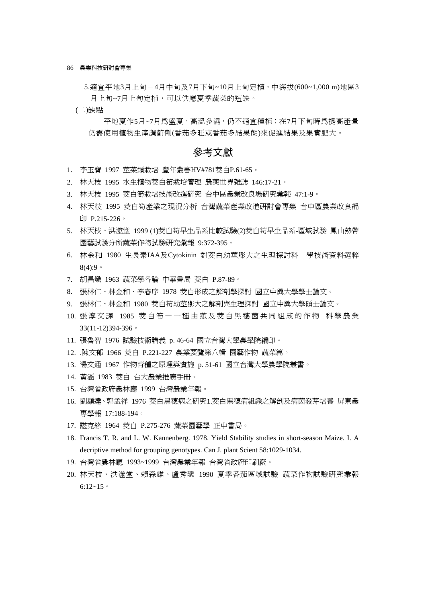86 農業科技研討會專集

5.適宜平地3月上旬-4月中旬及7月下旬~10月上旬定植,中海拔(600~1,000 m)地區3 月上旬~7月上旬定植,可以供應夏季蔬菜的短缺。

(二)缺點

平地夏作5月~7月為盛夏,高溫多濕,仍不適宜種植;在7月下旬時為提高產量 仍需使用植物生產調節劑(番茄多旺或番茄多結果朗)來促進結果及果實肥大。

#### 參考文獻

- 1. 李玉寶 1997 莖菜類栽培 豐年叢書HV#781茭白P.61-65。
- 2. 林天枝 1995 水生植物茭白筍栽培管理 農藥世界雜誌 146:17-21。
- 3. 林天枝 1995 茭白筍栽培技術改進研究 台中區農業改良場研究彙報 47:1-9。
- 4. 林天枝 1995 茭白筍產業之現況分析 台灣蔬菜產業改進研討會專集 台中區農業改良編 印 P.215-226。
- 5. 林天枝、洪澨堂 1999 (1)茭白筍早生品系比較試驗(2)茭白筍早生品系-區域試驗 鳳山熱帶 園藝試驗分所蔬菜作物試驗研究彙報 9:372-395。
- 6. 林金和 1980 生長素IAA及Cytokinin 對茭白幼莖膨大之生理探討科 學技術資料選粹  $8(4)$ :9。
- 7. 胡昌熾 1963 蔬菜學各論 中華書局 茭白 P.87-89。
- 8. 張林仁、林金和、李春序 1978 茭白形成之解剖學探討 國立中興大學學士論文。
- 9. 張林仁、林金和 1980 茭白筍幼莖膨大之解剖與生理探討 國立中興大學碩士論文。
- 10. 張淳文譯 1985 茭白筍-一種由菰及茭白黑穗茵共同組成的作物 科學農業 33(11-12)394-396。
- 11. 張魯智 1976 試驗技術講義 p. 46-64 國立台灣大學農學院編印。
- 12. .陳文郁 1966 茭白 P.221-227 農業要覽第八輯 園藝作物 蔬菜篇。
- 13. 湯文通 1967 作物育種之原理與實施 p. 51-61 國立台灣大學農學院叢書。
- 14. 黃涵 1983 茭白 台大農業推廣手冊。
- 15. 台灣省政府農林廳 1999 台灣農業年報。
- 16. 劉顯達、郭孟祥 1976 茭白黑穗病之研究1.茭白黑穗病組織之解剖及病茵發芽培養 屏東農 專學報 17:188-194。
- 17. 諶克終 1964 茭白 P.275-276 蔬菜園藝學 正中書局。
- 18. Francis T. R. and L. W. Kannenberg. 1978. Yield Stability studies in short-season Maize. I. A decriptive method for grouping genotypes. Can J. plant Scient 58:1029-1034.
- 19. 台灣省農林廳 1993~1999 台灣農業年報 台灣省政府印刷廠。
- 20. 林天枝、洪澨堂、賴森雄、盧秀鑾 1990 夏季番茄區域試驗 蔬菜作物試驗研究彙報  $6:12-15$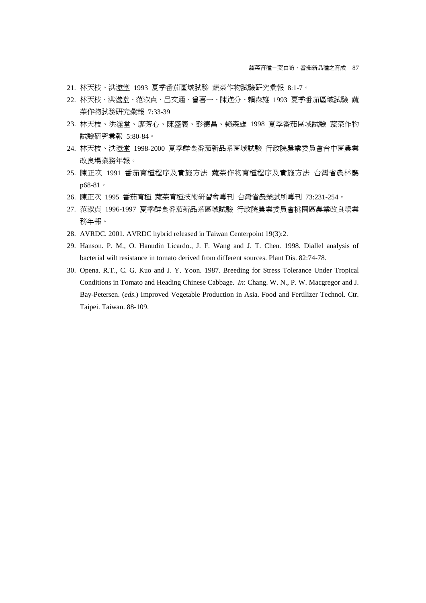- 21. 林天枝、洪澨堂 1993 夏季番茄區域試驗 蔬菜作物試驗研究彙報 8:1-7。
- 22. 林天枝、洪澨堂、范淑貞、呂文通、曾喜一、陳進分、賴森雄 1993 夏季番茄區域試驗 蔬 菜作物試驗研究彙報 7:33-39
- 23. 林天枝、洪澨堂、廖芳心、陳盛義、彭德昌、賴森雄 1998 夏季番茄區域試驗 蔬菜作物 試驗研究彙報 5:80-84。
- 24. 林天枝、洪澨堂 1998-2000 夏季鮮食番茄新品系區域試驗 行政院農業委員會台中區農業 改良場業務年報。
- 25. 陳正次 1991 番茄育種程序及實施方法 蔬菜作物育種程序及實施方法 台灣省農林廳 p68-81。
- 26. 陳正次 1995 番茄育種 蔬菜育種技術研習會專刊 台灣省農業試所專刊 73:231-254。
- 27. 范淑貞 1996-1997 夏季鮮食番茄新品系區域試驗 行政院農業委員會桃園區農業改良場業 務年報。
- 28. AVRDC. 2001. AVRDC hybrid released in Taiwan Centerpoint 19(3):2.
- 29. Hanson. P. M., O. Hanudin Licardo., J. F. Wang and J. T. Chen. 1998. Diallel analysis of bacterial wilt resistance in tomato derived from different sources. Plant Dis. 82:74-78.
- 30. Opena. R.T., C. G. Kuo and J. Y. Yoon. 1987. Breeding for Stress Tolerance Under Tropical Conditions in Tomato and Heading Chinese Cabbage. *In*: Chang. W. N., P. W. Macgregor and J. Bay-Petersen. (*eds*.) Improved Vegetable Production in Asia. Food and Fertilizer Technol. Ctr. Taipei. Taiwan. 88-109.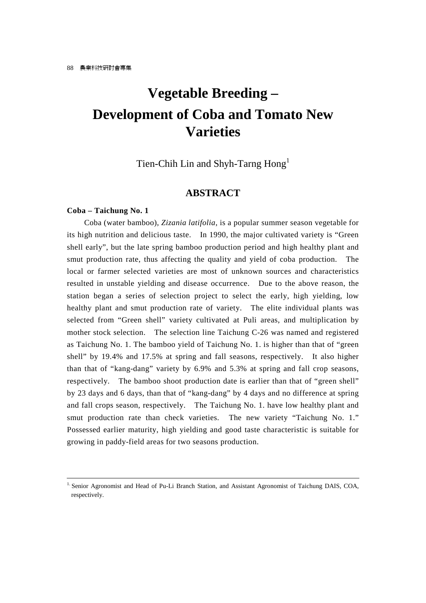# **Vegetable Breeding – Development of Coba and Tomato New Varieties**

Tien-Chih Lin and Shyh-Tarng Hong<sup>1</sup>

### **ABSTRACT**

#### **Coba – Taichung No. 1**

Coba (water bamboo), *Zizania latifolia*, is a popular summer season vegetable for its high nutrition and delicious taste. In 1990, the major cultivated variety is "Green shell early", but the late spring bamboo production period and high healthy plant and smut production rate, thus affecting the quality and yield of coba production. The local or farmer selected varieties are most of unknown sources and characteristics resulted in unstable yielding and disease occurrence. Due to the above reason, the station began a series of selection project to select the early, high yielding, low healthy plant and smut production rate of variety. The elite individual plants was selected from "Green shell" variety cultivated at Puli areas, and multiplication by mother stock selection. The selection line Taichung C-26 was named and registered as Taichung No. 1. The bamboo yield of Taichung No. 1. is higher than that of "green shell" by 19.4% and 17.5% at spring and fall seasons, respectively. It also higher than that of "kang-dang" variety by 6.9% and 5.3% at spring and fall crop seasons, respectively. The bamboo shoot production date is earlier than that of "green shell" by 23 days and 6 days, than that of "kang-dang" by 4 days and no difference at spring and fall crops season, respectively. The Taichung No. 1. have low healthy plant and smut production rate than check varieties. The new variety "Taichung No. 1." Possessed earlier maturity, high yielding and good taste characteristic is suitable for growing in paddy-field areas for two seasons production.

<sup>&</sup>lt;sup>1.</sup> Senior Agronomist and Head of Pu-Li Branch Station, and Assistant Agronomist of Taichung DAIS, COA, respectively.